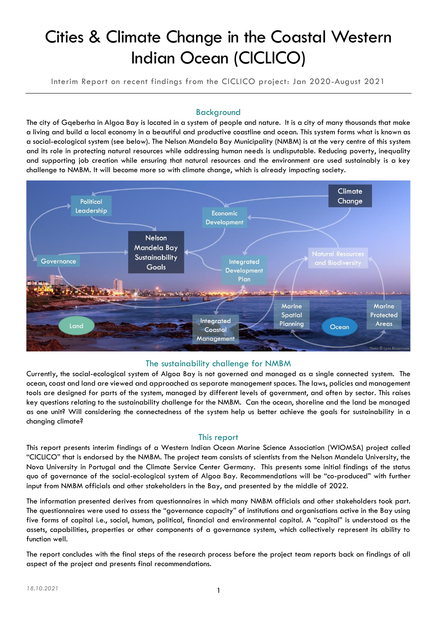# Cities & Climate Change in the Coastal Western Indian Ocean (CICLICO)

Interim Report on recent findings from the CICLICO project: Jan 2020-August 2021

# Background

The city of Gqeberha in Algoa Bay is located in a system of people and nature. It is a city of many thousands that make a living and build a local economy in a beautiful and productive coastline and ocean. This system forms what is known as a social-ecological system (see below). The Nelson Mandela Bay Municipality (NMBM) is at the very centre of this system and its role in protecting natural resources while addressing human needs is undisputable. Reducing poverty, inequality and supporting job creation while ensuring that natural resources and the environment are used sustainably is a key challenge to NMBM. It will become more so with climate change, which is already impacting society.



## The sustainability challenge for NMBM

Currently, the social-ecological system of Algoa Bay is not governed and managed as a single connected system. The ocean, coast and land are viewed and approached as separate management spaces. The laws, policies and management tools are designed for parts of the system, managed by different levels of government, and often by sector. This raises key questions relating to the sustainability challenge for the NMBM. Can the ocean, shoreline and the land be managed as one unit? Will considering the connectedness of the system help us better achieve the goals for sustainability in a changing climate?

## This report

This report presents interim findings of a Western Indian Ocean Marine Science Association (WIOMSA) project called "CICLICO" that is endorsed by the NMBM. The project team consists of scientists from the Nelson Mandela University, the Nova University in Portugal and the Climate Service Center Germany. This presents some initial findings of the status quo of governance of the social-ecological system of Algoa Bay. Recommendations will be "co-produced" with further input from NMBM officials and other stakeholders in the Bay, and presented by the middle of 2022.

The information presented derives from questionnaires in which many NMBM officials and other stakeholders took part. The questionnaires were used to assess the "governance capacity" of institutions and organisations active in the Bay using five forms of capital i.e., social, human, political, financial and environmental capital. A "capital" is understood as the assets, capabilities, properties or other components of a governance system, which collectively represent its ability to function well.

The report concludes with the final steps of the research process before the project team reports back on findings of all aspect of the project and presents final recommendations.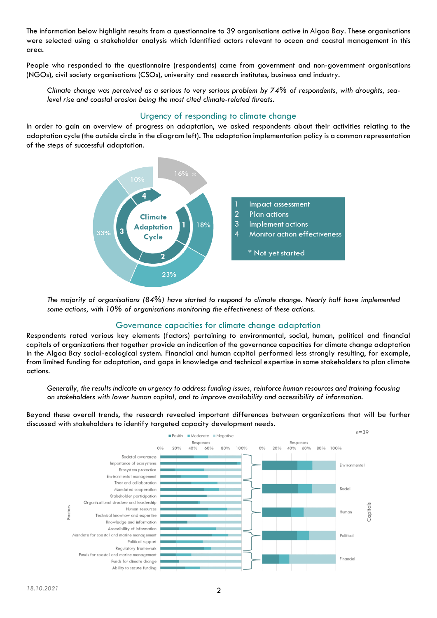The information below highlight results from a questionnaire to 39 organisations active in Algoa Bay. These organisations were selected using a stakeholder analysis which identified actors relevant to ocean and coastal management in this area.

People who responded to the questionnaire (respondents) came from government and non-government organisations (NGOs), civil society organisations (CSOs), university and research institutes, business and industry.

*Climate change was perceived as a serious to very serious problem by 74% of respondents, with droughts, sealevel rise and coastal erosion being the most cited climate-related threats.* 

## Urgency of responding to climate change

In order to gain an overview of progress on adaptation, we asked respondents about their activities relating to the adaptation cycle (the outside circle in the diagram left). The adaptation implementation policy is a common representation of the steps of successful adaptation.



*The majority of organisations (84%) have started to respond to climate change. Nearly half have implemented some actions, with 10% of organisations monitoring the effectiveness of these actions.*

## Governance capacities for climate change adaptation

Respondents rated various key elements (factors) pertaining to environmental, social, human, political and financial capitals of organizations that together provide an indication of the governance capacities for climate change adaptation in the Algoa Bay social-ecological system. Financial and human capital performed less strongly resulting, for example, from limited funding for adaptation, and gaps in knowledge and technical expertise in some stakeholders to plan climate actions.

*Generally, the results indicate an urgency to address funding issues, reinforce human resources and training focusing on stakeholders with lower human capital, and to improve availability and accessibility of information.*

Beyond these overall trends, the research revealed important differences between organizations that will be further discussed with stakeholders to identify targeted capacity development needs.